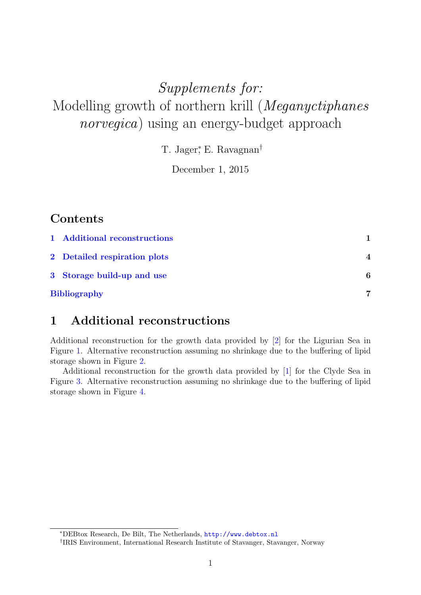# Supplements for: Modelling growth of northern krill (Meganyctiphanes norvegica) using an energy-budget approach

T. Jager<sup>\*</sup>, E. Ravagnan<sup>†</sup>

December 1, 2015

## **Contents**

| 1 Additional reconstructions |                  |
|------------------------------|------------------|
| 2 Detailed respiration plots | $\boldsymbol{4}$ |
| 3 Storage build-up and use   | 6                |
| <b>Bibliography</b>          | 7                |

## <span id="page-0-0"></span>1 Additional reconstructions

Additional reconstruction for the growth data provided by [\[2\]](#page-6-0) for the Ligurian Sea in Figure [1.](#page-1-0) Alternative reconstruction assuming no shrinkage due to the buffering of lipid storage shown in Figure [2.](#page-1-1)

Additional reconstruction for the growth data provided by [\[1\]](#page-6-1) for the Clyde Sea in Figure [3.](#page-2-0) Alternative reconstruction assuming no shrinkage due to the buffering of lipid storage shown in Figure [4.](#page-2-1)

<sup>∗</sup>DEBtox Research, De Bilt, The Netherlands, <http://www.debtox.nl>

<sup>†</sup> IRIS Environment, International Research Institute of Stavanger, Stavanger, Norway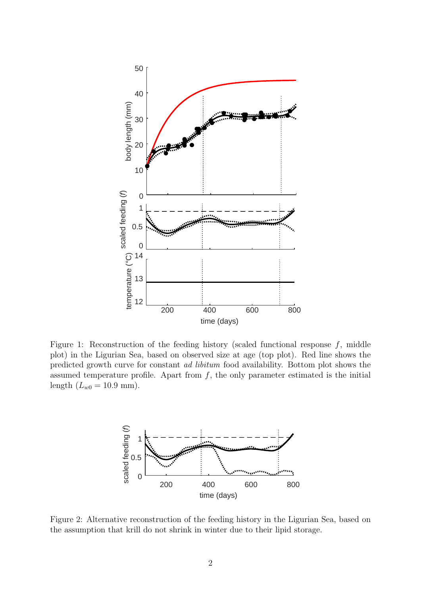

Figure 1: Reconstruction of the feeding history (scaled functional response  $f$ , middle plot) in the Ligurian Sea, based on observed size at age (top plot). Red line shows the predicted growth curve for constant ad libitum food availability. Bottom plot shows the assumed temperature profile. Apart from  $f$ , the only parameter estimated is the initial length  $(L_{w0} = 10.9 \text{ mm}).$ 

<span id="page-1-1"></span><span id="page-1-0"></span>

Figure 2: Alternative reconstruction of the feeding history in the Ligurian Sea, based on the assumption that krill do not shrink in winter due to their lipid storage.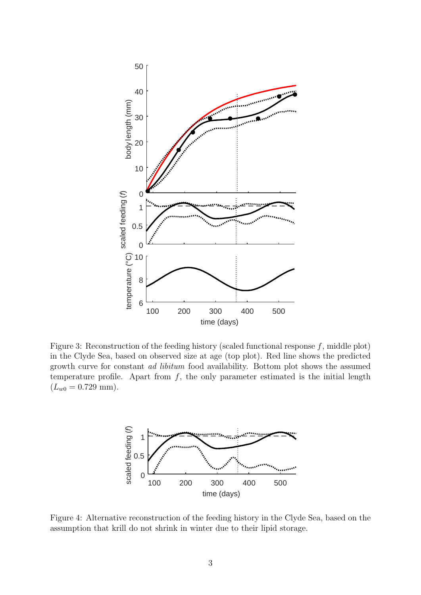

Figure 3: Reconstruction of the feeding history (scaled functional response f, middle plot) in the Clyde Sea, based on observed size at age (top plot). Red line shows the predicted growth curve for constant ad libitum food availability. Bottom plot shows the assumed temperature profile. Apart from  $f$ , the only parameter estimated is the initial length  $(L_{w0} = 0.729$  mm).

<span id="page-2-1"></span><span id="page-2-0"></span>

Figure 4: Alternative reconstruction of the feeding history in the Clyde Sea, based on the assumption that krill do not shrink in winter due to their lipid storage.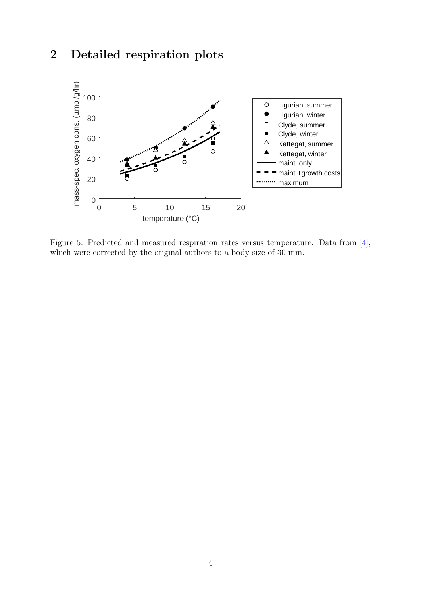## <span id="page-3-0"></span>2 Detailed respiration plots



Figure 5: Predicted and measured respiration rates versus temperature. Data from [\[4\]](#page-6-2), which were corrected by the original authors to a body size of 30 mm.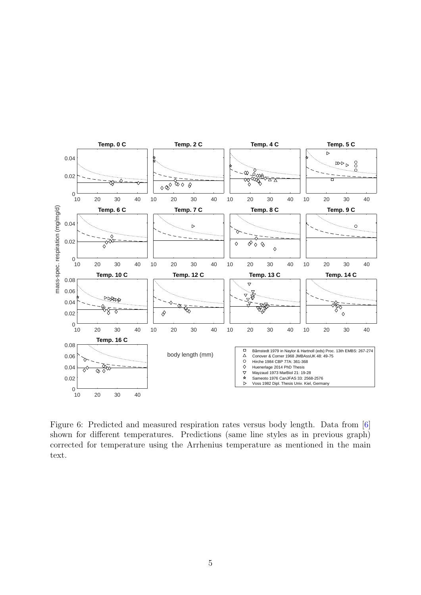

Figure 6: Predicted and measured respiration rates versus body length. Data from [\[6\]](#page-6-3) shown for different temperatures. Predictions (same line styles as in previous graph) corrected for temperature using the Arrhenius temperature as mentioned in the main text.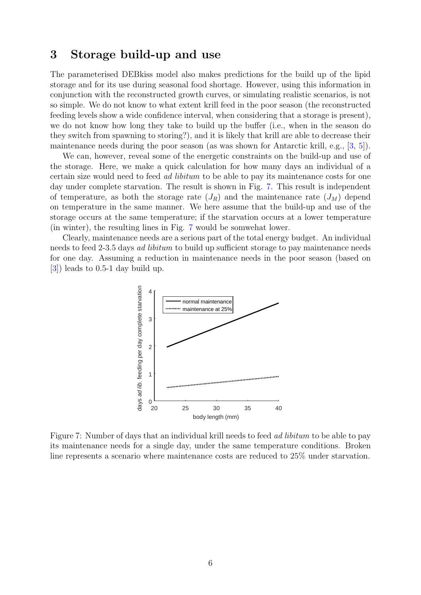#### <span id="page-5-0"></span>3 Storage build-up and use

The parameterised DEBkiss model also makes predictions for the build up of the lipid storage and for its use during seasonal food shortage. However, using this information in conjunction with the reconstructed growth curves, or simulating realistic scenarios, is not so simple. We do not know to what extent krill feed in the poor season (the reconstructed feeding levels show a wide confidence interval, when considering that a storage is present), we do not know how long they take to build up the buffer (i.e., when in the season do they switch from spawning to storing?), and it is likely that krill are able to decrease their maintenance needs during the poor season (as was shown for Antarctic krill, e.g., [\[3,](#page-6-4) [5\]](#page-6-5)).

We can, however, reveal some of the energetic constraints on the build-up and use of the storage. Here, we make a quick calculation for how many days an individual of a certain size would need to feed ad libitum to be able to pay its maintenance costs for one day under complete starvation. The result is shown in Fig. [7.](#page-5-1) This result is independent of temperature, as both the storage rate  $(J_R)$  and the maintenance rate  $(J_M)$  depend on temperature in the same manner. We here assume that the build-up and use of the storage occurs at the same temperature; if the starvation occurs at a lower temperature (in winter), the resulting lines in Fig. [7](#page-5-1) would be somwehat lower.

Clearly, maintenance needs are a serious part of the total energy budget. An individual needs to feed 2-3.5 days *ad libitum* to build up sufficient storage to pay maintenance needs for one day. Assuming a reduction in maintenance needs in the poor season (based on [\[3\]](#page-6-4)) leads to 0.5-1 day build up.

<span id="page-5-1"></span>

Figure 7: Number of days that an individual krill needs to feed *ad libitum* to be able to pay its maintenance needs for a single day, under the same temperature conditions. Broken line represents a scenario where maintenance costs are reduced to 25% under starvation.